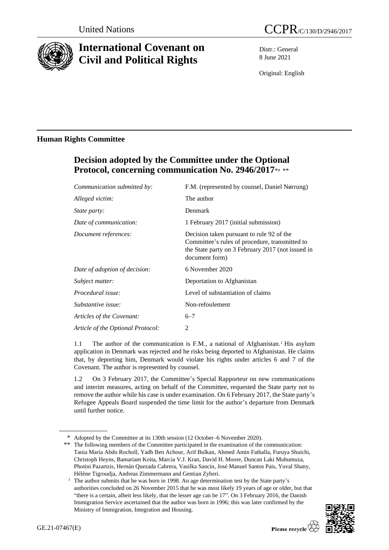

# **International Covenant on Civil and Political Rights**

Distr.: General 8 June 2021

Original: English

### **Human Rights Committee**

## **Decision adopted by the Committee under the Optional**  Protocol, concerning communication No. 2946/2017\*, \*\*

| Communication submitted by:       | F.M. (represented by counsel, Daniel Nørrung)                                                                                                                      |
|-----------------------------------|--------------------------------------------------------------------------------------------------------------------------------------------------------------------|
| Alleged victim:                   | The author                                                                                                                                                         |
| <i>State party:</i>               | Denmark                                                                                                                                                            |
| Date of communication:            | 1 February 2017 (initial submission)                                                                                                                               |
| Document references:              | Decision taken pursuant to rule 92 of the<br>Committee's rules of procedure, transmitted to<br>the State party on 3 February 2017 (not issued in<br>document form) |
| Date of adoption of decision:     | 6 November 2020                                                                                                                                                    |
| Subject matter:                   | Deportation to Afghanistan                                                                                                                                         |
| Procedural issue:                 | Level of substantiation of claims                                                                                                                                  |
| Substantive issue:                | Non-refoulement                                                                                                                                                    |
| Articles of the Covenant:         | $6 - 7$                                                                                                                                                            |
| Article of the Optional Protocol: | 2                                                                                                                                                                  |

1.1 The author of the communication is F.M., a national of Afghanistan.<sup>1</sup> His asylum application in Denmark was rejected and he risks being deported to Afghanistan. He claims that, by deporting him, Denmark would violate his rights under articles 6 and 7 of the Covenant. The author is represented by counsel.

1.2 On 3 February 2017, the Committee's Special Rapporteur on new communications and interim measures, acting on behalf of the Committee, requested the State party not to remove the author while his case is under examination. On 6 February 2017, the State party's Refugee Appeals Board suspended the time limit for the author's departure from Denmark until further notice.

<sup>&</sup>lt;sup>1</sup> The author submits that he was born in 1998. An age determination test by the State party's authorities concluded on 26 November 2015 that he was most likely 19 years of age or older, but that "there is a certain, albeit less likely, that the lesser age can be 17". On 3 February 2016, the Danish Immigration Service ascertained that the author was born in 1996; this was later confirmed by the Ministry of Immigration, Integration and Housing.



<sup>\*</sup> Adopted by the Committee at its 130th session (12 October–6 November 2020).

<sup>\*\*</sup> The following members of the Committee participated in the examination of the communication: Tania María Abdo Rocholl, Yadh Ben Achour, Arif Bulkan, Ahmed Amin Fathalla, Furuya Shuichi, Christoph Heyns, Bamariam Koita, Marcia V.J. Kran, David H. Moore, Duncan Laki Muhumuza, Photini Pazartzis, Hernán Quezada Cabrera, Vasilka Sancin, José Manuel Santos Pais, Yuval Shany, Hélène Tigroudja, Andreas Zimmermann and Gentian Zyberi.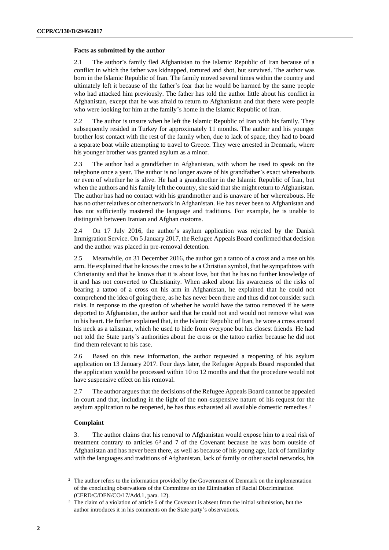#### **Facts as submitted by the author**

2.1 The author's family fled Afghanistan to the Islamic Republic of Iran because of a conflict in which the father was kidnapped, tortured and shot, but survived. The author was born in the Islamic Republic of Iran. The family moved several times within the country and ultimately left it because of the father's fear that he would be harmed by the same people who had attacked him previously. The father has told the author little about his conflict in Afghanistan, except that he was afraid to return to Afghanistan and that there were people who were looking for him at the family's home in the Islamic Republic of Iran.

2.2 The author is unsure when he left the Islamic Republic of Iran with his family. They subsequently resided in Turkey for approximately 11 months. The author and his younger brother lost contact with the rest of the family when, due to lack of space, they had to board a separate boat while attempting to travel to Greece. They were arrested in Denmark, where his younger brother was granted asylum as a minor.

2.3 The author had a grandfather in Afghanistan, with whom he used to speak on the telephone once a year. The author is no longer aware of his grandfather's exact whereabouts or even of whether he is alive. He had a grandmother in the Islamic Republic of Iran, but when the authors and his family left the country, she said that she might return to Afghanistan. The author has had no contact with his grandmother and is unaware of her whereabouts. He has no other relatives or other network in Afghanistan. He has never been to Afghanistan and has not sufficiently mastered the language and traditions. For example, he is unable to distinguish between Iranian and Afghan customs.

2.4 On 17 July 2016, the author's asylum application was rejected by the Danish Immigration Service. On 5 January 2017, the Refugee Appeals Board confirmed that decision and the author was placed in pre-removal detention.

2.5 Meanwhile, on 31 December 2016, the author got a tattoo of a cross and a rose on his arm. He explained that he knows the cross to be a Christian symbol, that he sympathizes with Christianity and that he knows that it is about love, but that he has no further knowledge of it and has not converted to Christianity. When asked about his awareness of the risks of bearing a tattoo of a cross on his arm in Afghanistan, he explained that he could not comprehend the idea of going there, as he has never been there and thus did not consider such risks. In response to the question of whether he would have the tattoo removed if he were deported to Afghanistan, the author said that he could not and would not remove what was in his heart. He further explained that, in the Islamic Republic of Iran, he wore a cross around his neck as a talisman, which he used to hide from everyone but his closest friends. He had not told the State party's authorities about the cross or the tattoo earlier because he did not find them relevant to his case.

2.6 Based on this new information, the author requested a reopening of his asylum application on 13 January 2017. Four days later, the Refugee Appeals Board responded that the application would be processed within 10 to 12 months and that the procedure would not have suspensive effect on his removal.

2.7 The author argues that the decisions of the Refugee Appeals Board cannot be appealed in court and that, including in the light of the non-suspensive nature of his request for the asylum application to be reopened, he has thus exhausted all available domestic remedies.<sup>2</sup>

#### **Complaint**

3. The author claims that his removal to Afghanistan would expose him to a real risk of treatment contrary to articles 6<sup>3</sup> and 7 of the Covenant because he was born outside of Afghanistan and has never been there, as well as because of his young age, lack of familiarity with the languages and traditions of Afghanistan, lack of family or other social networks, his

<sup>&</sup>lt;sup>2</sup> The author refers to the information provided by the Government of Denmark on the implementation of the concluding observations of the Committee on the Elimination of Racial Discrimination (CERD/C/DEN/CO/17/Add.1, para. 12).

<sup>&</sup>lt;sup>3</sup> The claim of a violation of article 6 of the Covenant is absent from the initial submission, but the author introduces it in his comments on the State party's observations.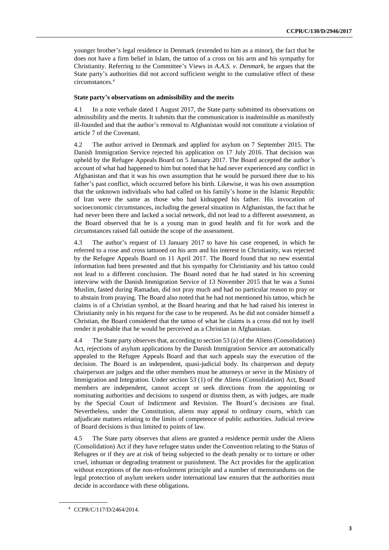younger brother's legal residence in Denmark (extended to him as a minor), the fact that he does not have a firm belief in Islam, the tattoo of a cross on his arm and his sympathy for Christianity. Referring to the Committee's Views in *A.A.S. v. Denmark*, he argues that the State party's authorities did not accord sufficient weight to the cumulative effect of these circumstances.<sup>4</sup>

#### **State party's observations on admissibility and the merits**

4.1 In a note verbale dated 1 August 2017, the State party submitted its observations on admissibility and the merits. It submits that the communication is inadmissible as manifestly ill-founded and that the author's removal to Afghanistan would not constitute a violation of article 7 of the Covenant.

4.2 The author arrived in Denmark and applied for asylum on 7 September 2015. The Danish Immigration Service rejected his application on 17 July 2016. That decision was upheld by the Refugee Appeals Board on 5 January 2017. The Board accepted the author's account of what had happened to him but noted that he had never experienced any conflict in Afghanistan and that it was his own assumption that he would be pursued there due to his father's past conflict, which occurred before his birth. Likewise, it was his own assumption that the unknown individuals who had called on his family's home in the Islamic Republic of Iran were the same as those who had kidnapped his father. His invocation of socioeconomic circumstances, including the general situation in Afghanistan, the fact that he had never been there and lacked a social network, did not lead to a different assessment, as the Board observed that he is a young man in good health and fit for work and the circumstances raised fall outside the scope of the assessment.

4.3 The author's request of 13 January 2017 to have his case reopened, in which he referred to a rose and cross tattooed on his arm and his interest in Christianity, was rejected by the Refugee Appeals Board on 11 April 2017. The Board found that no new essential information had been presented and that his sympathy for Christianity and his tattoo could not lead to a different conclusion. The Board noted that he had stated in his screening interview with the Danish Immigration Service of 13 November 2015 that he was a Sunni Muslim, fasted during Ramadan, did not pray much and had no particular reason to pray or to abstain from praying. The Board also noted that he had not mentioned his tattoo, which he claims is of a Christian symbol, at the Board hearing and that he had raised his interest in Christianity only in his request for the case to be reopened. As he did not consider himself a Christian, the Board considered that the tattoo of what he claims is a cross did not by itself render it probable that he would be perceived as a Christian in Afghanistan.

4.4 The State party observes that, according to section 53 (a) of the Aliens (Consolidation) Act, rejections of asylum applications by the Danish Immigration Service are automatically appealed to the Refugee Appeals Board and that such appeals stay the execution of the decision. The Board is an independent, quasi-judicial body. Its chairperson and deputy chairperson are judges and the other members must be attorneys or serve in the Ministry of Immigration and Integration. Under section 53 (1) of the Aliens (Consolidation) Act, Board members are independent, cannot accept or seek directions from the appointing or nominating authorities and decisions to suspend or dismiss them, as with judges, are made by the Special Court of Indictment and Revision. The Board's decisions are final. Nevertheless, under the Constitution, aliens may appeal to ordinary courts, which can adjudicate matters relating to the limits of competence of public authorities. Judicial review of Board decisions is thus limited to points of law.

4.5 The State party observes that aliens are granted a residence permit under the Aliens (Consolidation) Act if they have refugee status under the Convention relating to the Status of Refugees or if they are at risk of being subjected to the death penalty or to torture or other cruel, inhuman or degrading treatment or punishment. The Act provides for the application without exceptions of the non-refoulement principle and a number of memorandums on the legal protection of asylum seekers under international law ensures that the authorities must decide in accordance with these obligations.

<sup>4</sup> CCPR/C/117/D/2464/2014.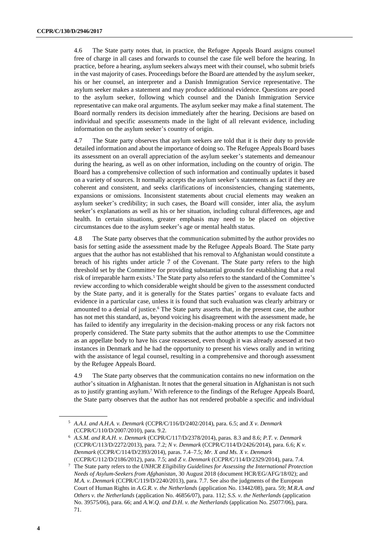4.6 The State party notes that, in practice, the Refugee Appeals Board assigns counsel free of charge in all cases and forwards to counsel the case file well before the hearing. In practice, before a hearing, asylum seekers always meet with their counsel, who submit briefs in the vast majority of cases. Proceedings before the Board are attended by the asylum seeker, his or her counsel, an interpreter and a Danish Immigration Service representative. The asylum seeker makes a statement and may produce additional evidence. Questions are posed to the asylum seeker, following which counsel and the Danish Immigration Service representative can make oral arguments. The asylum seeker may make a final statement. The Board normally renders its decision immediately after the hearing. Decisions are based on individual and specific assessments made in the light of all relevant evidence, including information on the asylum seeker's country of origin.

4.7 The State party observes that asylum seekers are told that it is their duty to provide detailed information and about the importance of doing so. The Refugee Appeals Board bases its assessment on an overall appreciation of the asylum seeker's statements and demeanour during the hearing, as well as on other information, including on the country of origin. The Board has a comprehensive collection of such information and continually updates it based on a variety of sources. It normally accepts the asylum seeker's statements as fact if they are coherent and consistent, and seeks clarifications of inconsistencies, changing statements, expansions or omissions. Inconsistent statements about crucial elements may weaken an asylum seeker's credibility; in such cases, the Board will consider, inter alia, the asylum seeker's explanations as well as his or her situation, including cultural differences, age and health. In certain situations, greater emphasis may need to be placed on objective circumstances due to the asylum seeker's age or mental health status.

4.8 The State party observes that the communication submitted by the author provides no basis for setting aside the assessment made by the Refugee Appeals Board. The State party argues that the author has not established that his removal to Afghanistan would constitute a breach of his rights under article 7 of the Covenant. The State party refers to the high threshold set by the Committee for providing substantial grounds for establishing that a real risk of irreparable harm exists.<sup>5</sup> The State party also refers to the standard of the Committee's review according to which considerable weight should be given to the assessment conducted by the State party, and it is generally for the States parties' organs to evaluate facts and evidence in a particular case, unless it is found that such evaluation was clearly arbitrary or amounted to a denial of justice.<sup>6</sup> The State party asserts that, in the present case, the author has not met this standard, as, beyond voicing his disagreement with the assessment made, he has failed to identify any irregularity in the decision-making process or any risk factors not properly considered. The State party submits that the author attempts to use the Committee as an appellate body to have his case reassessed, even though it was already assessed at two instances in Denmark and he had the opportunity to present his views orally and in writing with the assistance of legal counsel, resulting in a comprehensive and thorough assessment by the Refugee Appeals Board.

4.9 The State party observes that the communication contains no new information on the author's situation in Afghanistan. It notes that the general situation in Afghanistan is not such as to justify granting asylum.<sup>7</sup> With reference to the findings of the Refugee Appeals Board, the State party observes that the author has not rendered probable a specific and individual

<sup>5</sup> *A.A.I. and A.H.A. v. Denmark* (CCPR/C/116/D/2402/2014), para. 6.5; and *X v. Denmark* (CCPR/C/110/D/2007/2010), para. 9.2.

<sup>6</sup> *A.S.M. and R.A.H. v. Denmark* (CCPR/C/117/D/2378/2014), paras. 8.3 and 8.6; *P.T. v. Denmark* (CCPR/C/113/D/2272/2013), para. 7.2; *N v. Denmark* (CCPR/C/114/D/2426/2014), para. 6.6; *K v. Denmark* (CCPR/C/114/D/2393/2014), paras. 7.4–7.5; *Mr. X and Ms. X v. Denmark* (CCPR/C/112/D/2186/2012), para. 7.5; and *Z v. Denmark* (CCPR/C/114/D/2329/2014), para. 7.4.

<sup>7</sup> The State party refers to the *UNHCR Eligibility Guidelines for Assessing the International Protection Needs of Asylum-Seekers from Afghanistan*, 30 August 2018 (document HCR/EG/AFG/18/02); and *M.A. v. Denmark* (CCPR/C/119/D/2240/2013), para. 7.7. See also the judgments of the European Court of Human Rights in *A.G.R. v. the Netherlands* (application No. 13442/08), para. 59; *M.R.A. and Others v. the Netherlands* (application No. 46856/07), para. 112; *S.S. v. the Netherlands* (application No. 39575/06), para. 66; and *A.W.Q. and D.H. v. the Netherlands* (application No. 25077/06), para. 71.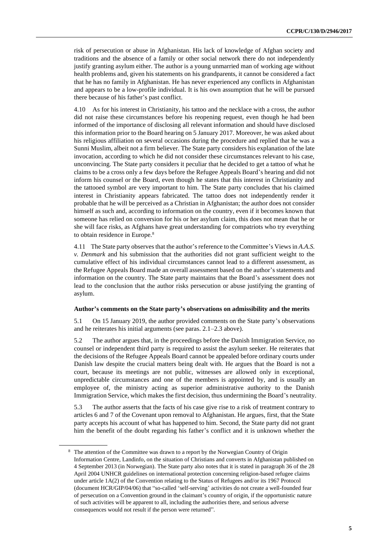risk of persecution or abuse in Afghanistan. His lack of knowledge of Afghan society and traditions and the absence of a family or other social network there do not independently justify granting asylum either. The author is a young unmarried man of working age without health problems and, given his statements on his grandparents, it cannot be considered a fact that he has no family in Afghanistan. He has never experienced any conflicts in Afghanistan and appears to be a low-profile individual. It is his own assumption that he will be pursued there because of his father's past conflict.

4.10 As for his interest in Christianity, his tattoo and the necklace with a cross, the author did not raise these circumstances before his reopening request, even though he had been informed of the importance of disclosing all relevant information and should have disclosed this information prior to the Board hearing on 5 January 2017. Moreover, he was asked about his religious affiliation on several occasions during the procedure and replied that he was a Sunni Muslim, albeit not a firm believer. The State party considers his explanation of the late invocation, according to which he did not consider these circumstances relevant to his case, unconvincing. The State party considers it peculiar that he decided to get a tattoo of what he claims to be a cross only a few days before the Refugee Appeals Board's hearing and did not inform his counsel or the Board, even though he states that this interest in Christianity and the tattooed symbol are very important to him. The State party concludes that his claimed interest in Christianity appears fabricated. The tattoo does not independently render it probable that he will be perceived as a Christian in Afghanistan; the author does not consider himself as such and, according to information on the country, even if it becomes known that someone has relied on conversion for his or her asylum claim, this does not mean that he or she will face risks, as Afghans have great understanding for compatriots who try everything to obtain residence in Europe.<sup>8</sup>

4.11 The State party observes that the author's reference to the Committee's Views in *A.A.S. v. Denmark* and his submission that the authorities did not grant sufficient weight to the cumulative effect of his individual circumstances cannot lead to a different assessment, as the Refugee Appeals Board made an overall assessment based on the author's statements and information on the country. The State party maintains that the Board's assessment does not lead to the conclusion that the author risks persecution or abuse justifying the granting of asylum.

#### **Author's comments on the State party's observations on admissibility and the merits**

5.1 On 15 January 2019, the author provided comments on the State party's observations and he reiterates his initial arguments (see paras. 2.1–2.3 above).

5.2 The author argues that, in the proceedings before the Danish Immigration Service, no counsel or independent third party is required to assist the asylum seeker. He reiterates that the decisions of the Refugee Appeals Board cannot be appealed before ordinary courts under Danish law despite the crucial matters being dealt with. He argues that the Board is not a court, because its meetings are not public, witnesses are allowed only in exceptional, unpredictable circumstances and one of the members is appointed by, and is usually an employee of, the ministry acting as superior administrative authority to the Danish Immigration Service, which makes the first decision, thus undermining the Board's neutrality.

5.3 The author asserts that the facts of his case give rise to a risk of treatment contrary to articles 6 and 7 of the Covenant upon removal to Afghanistan. He argues, first, that the State party accepts his account of what has happened to him. Second, the State party did not grant him the benefit of the doubt regarding his father's conflict and it is unknown whether the

<sup>8</sup> The attention of the Committee was drawn to a report by the Norwegian Country of Origin Information Centre, Landinfo, on the situation of Christians and converts in Afghanistan published on 4 September 2013 (in Norwegian). The State party also notes that it is stated in paragraph 36 of the 28 April 2004 UNHCR guidelines on international protection concerning religion-based refugee claims under article 1A(2) of the Convention relating to the Status of Refugees and/or its 1967 Protocol (document HCR/GIP/04/06) that "so-called 'self-serving' activities do not create a well-founded fear of persecution on a Convention ground in the claimant's country of origin, if the opportunistic nature of such activities will be apparent to all, including the authorities there, and serious adverse consequences would not result if the person were returned".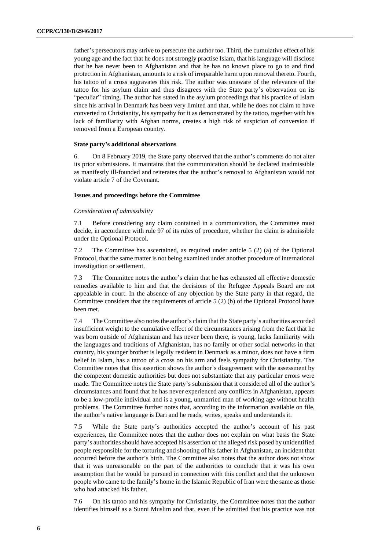father's persecutors may strive to persecute the author too. Third, the cumulative effect of his young age and the fact that he does not strongly practise Islam, that his language will disclose that he has never been to Afghanistan and that he has no known place to go to and find protection in Afghanistan, amounts to a risk of irreparable harm upon removal thereto. Fourth, his tattoo of a cross aggravates this risk. The author was unaware of the relevance of the tattoo for his asylum claim and thus disagrees with the State party's observation on its "peculiar" timing. The author has stated in the asylum proceedings that his practice of Islam since his arrival in Denmark has been very limited and that, while he does not claim to have converted to Christianity, his sympathy for it as demonstrated by the tattoo, together with his lack of familiarity with Afghan norms, creates a high risk of suspicion of conversion if removed from a European country.

#### **State party's additional observations**

6. On 8 February 2019, the State party observed that the author's comments do not alter its prior submissions. It maintains that the communication should be declared inadmissible as manifestly ill-founded and reiterates that the author's removal to Afghanistan would not violate article 7 of the Covenant.

#### **Issues and proceedings before the Committee**

#### *Consideration of admissibility*

7.1 Before considering any claim contained in a communication, the Committee must decide, in accordance with rule 97 of its rules of procedure, whether the claim is admissible under the Optional Protocol.

7.2 The Committee has ascertained, as required under article 5 (2) (a) of the Optional Protocol, that the same matter is not being examined under another procedure of international investigation or settlement.

7.3 The Committee notes the author's claim that he has exhausted all effective domestic remedies available to him and that the decisions of the Refugee Appeals Board are not appealable in court. In the absence of any objection by the State party in that regard, the Committee considers that the requirements of article 5 (2) (b) of the Optional Protocol have been met.

7.4 The Committee also notes the author's claim that the State party's authorities accorded insufficient weight to the cumulative effect of the circumstances arising from the fact that he was born outside of Afghanistan and has never been there, is young, lacks familiarity with the languages and traditions of Afghanistan, has no family or other social networks in that country, his younger brother is legally resident in Denmark as a minor, does not have a firm belief in Islam, has a tattoo of a cross on his arm and feels sympathy for Christianity. The Committee notes that this assertion shows the author's disagreement with the assessment by the competent domestic authorities but does not substantiate that any particular errors were made. The Committee notes the State party's submission that it considered all of the author's circumstances and found that he has never experienced any conflicts in Afghanistan, appears to be a low-profile individual and is a young, unmarried man of working age without health problems. The Committee further notes that, according to the information available on file, the author's native language is Dari and he reads, writes, speaks and understands it.

7.5 While the State party's authorities accepted the author's account of his past experiences, the Committee notes that the author does not explain on what basis the State party's authorities should have accepted his assertion of the alleged risk posed by unidentified people responsible for the torturing and shooting of his father in Afghanistan, an incident that occurred before the author's birth. The Committee also notes that the author does not show that it was unreasonable on the part of the authorities to conclude that it was his own assumption that he would be pursued in connection with this conflict and that the unknown people who came to the family's home in the Islamic Republic of Iran were the same as those who had attacked his father.

7.6 On his tattoo and his sympathy for Christianity, the Committee notes that the author identifies himself as a Sunni Muslim and that, even if he admitted that his practice was not